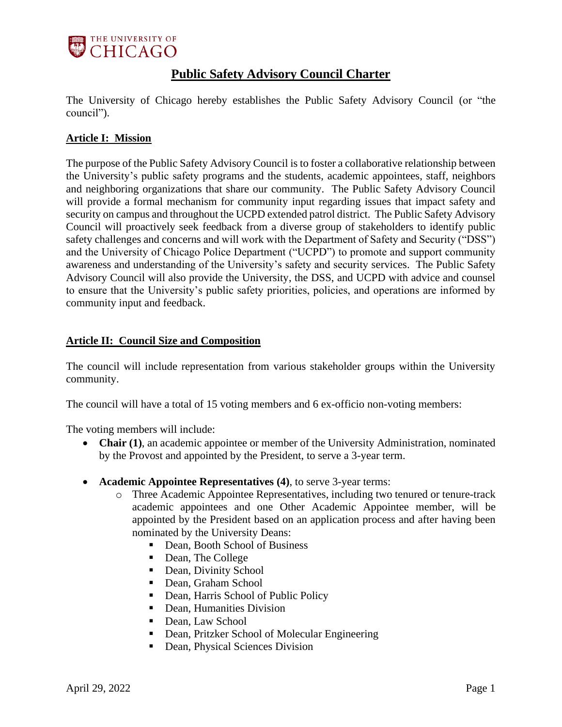

# **Public Safety Advisory Council Charter**

The University of Chicago hereby establishes the Public Safety Advisory Council (or "the council").

# **Article I: Mission**

The purpose of the Public Safety Advisory Council is to foster a collaborative relationship between the University's public safety programs and the students, academic appointees, staff, neighbors and neighboring organizations that share our community. The Public Safety Advisory Council will provide a formal mechanism for community input regarding issues that impact safety and security on campus and throughout the UCPD extended patrol district. The Public Safety Advisory Council will proactively seek feedback from a diverse group of stakeholders to identify public safety challenges and concerns and will work with the Department of Safety and Security ("DSS") and the University of Chicago Police Department ("UCPD") to promote and support community awareness and understanding of the University's safety and security services. The Public Safety Advisory Council will also provide the University, the DSS, and UCPD with advice and counsel to ensure that the University's public safety priorities, policies, and operations are informed by community input and feedback.

### **Article II: Council Size and Composition**

The council will include representation from various stakeholder groups within the University community.

The council will have a total of 15 voting members and 6 ex-officio non-voting members:

The voting members will include:

- **Chair (1)**, an academic appointee or member of the University Administration, nominated by the Provost and appointed by the President, to serve a 3-year term.
- **Academic Appointee Representatives (4)**, to serve 3-year terms:
	- o Three Academic Appointee Representatives, including two tenured or tenure-track academic appointees and one Other Academic Appointee member, will be appointed by the President based on an application process and after having been nominated by the University Deans:
		- Dean, Booth School of Business
		- Dean, The College
		- Dean, Divinity School
		- Dean, Graham School
		- Dean, Harris School of Public Policy
		- Dean, Humanities Division
		- Dean, Law School
		- Dean, Pritzker School of Molecular Engineering
		- Dean, Physical Sciences Division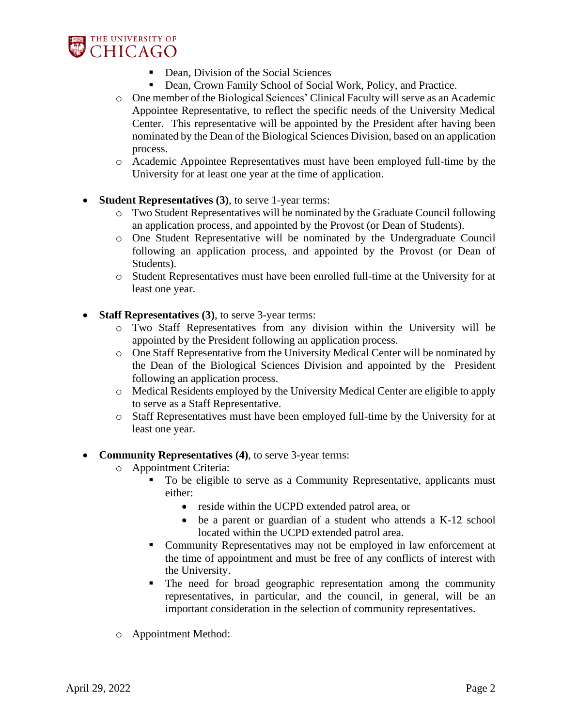

- Dean, Division of the Social Sciences
- Dean, Crown Family School of Social Work, Policy, and Practice.
- o One member of the Biological Sciences' Clinical Faculty will serve as an Academic Appointee Representative, to reflect the specific needs of the University Medical Center. This representative will be appointed by the President after having been nominated by the Dean of the Biological Sciences Division, based on an application process.
- o Academic Appointee Representatives must have been employed full-time by the University for at least one year at the time of application.
- **Student Representatives (3)**, to serve 1-year terms:
	- o Two Student Representatives will be nominated by the Graduate Council following an application process, and appointed by the Provost (or Dean of Students).
	- o One Student Representative will be nominated by the Undergraduate Council following an application process, and appointed by the Provost (or Dean of Students).
	- o Student Representatives must have been enrolled full-time at the University for at least one year.
- **Staff Representatives (3)**, to serve 3-year terms:
	- o Two Staff Representatives from any division within the University will be appointed by the President following an application process.
	- o One Staff Representative from the University Medical Center will be nominated by the Dean of the Biological Sciences Division and appointed by the President following an application process.
	- o Medical Residents employed by the University Medical Center are eligible to apply to serve as a Staff Representative.
	- o Staff Representatives must have been employed full-time by the University for at least one year.
- **Community Representatives (4)**, to serve 3-year terms:
	- o Appointment Criteria:
		- To be eligible to serve as a Community Representative, applicants must either:
			- reside within the UCPD extended patrol area, or
			- be a parent or guardian of a student who attends a K-12 school located within the UCPD extended patrol area.
		- Community Representatives may not be employed in law enforcement at the time of appointment and must be free of any conflicts of interest with the University.
		- The need for broad geographic representation among the community representatives, in particular, and the council, in general, will be an important consideration in the selection of community representatives.
	- o Appointment Method: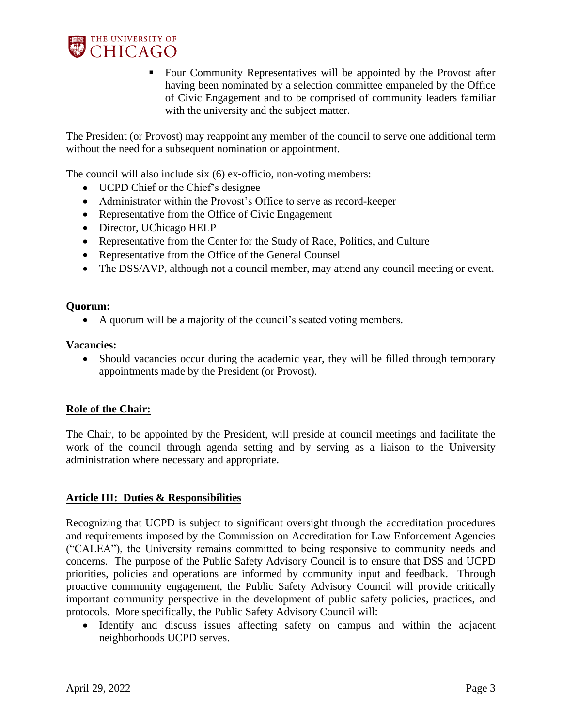

■ Four Community Representatives will be appointed by the Provost after having been nominated by a selection committee empaneled by the Office of Civic Engagement and to be comprised of community leaders familiar with the university and the subject matter.

The President (or Provost) may reappoint any member of the council to serve one additional term without the need for a subsequent nomination or appointment.

The council will also include six (6) ex-officio, non-voting members:

- UCPD Chief or the Chief's designee
- Administrator within the Provost's Office to serve as record-keeper
- Representative from the Office of Civic Engagement
- Director, UChicago HELP
- Representative from the Center for the Study of Race, Politics, and Culture
- Representative from the Office of the General Counsel
- The DSS/AVP, although not a council member, may attend any council meeting or event.

#### **Quorum:**

• A quorum will be a majority of the council's seated voting members.

#### **Vacancies:**

• Should vacancies occur during the academic year, they will be filled through temporary appointments made by the President (or Provost).

#### **Role of the Chair:**

The Chair, to be appointed by the President, will preside at council meetings and facilitate the work of the council through agenda setting and by serving as a liaison to the University administration where necessary and appropriate.

#### **Article III: Duties & Responsibilities**

Recognizing that UCPD is subject to significant oversight through the accreditation procedures and requirements imposed by the Commission on Accreditation for Law Enforcement Agencies ("CALEA"), the University remains committed to being responsive to community needs and concerns. The purpose of the Public Safety Advisory Council is to ensure that DSS and UCPD priorities, policies and operations are informed by community input and feedback. Through proactive community engagement, the Public Safety Advisory Council will provide critically important community perspective in the development of public safety policies, practices, and protocols. More specifically, the Public Safety Advisory Council will:

• Identify and discuss issues affecting safety on campus and within the adjacent neighborhoods UCPD serves.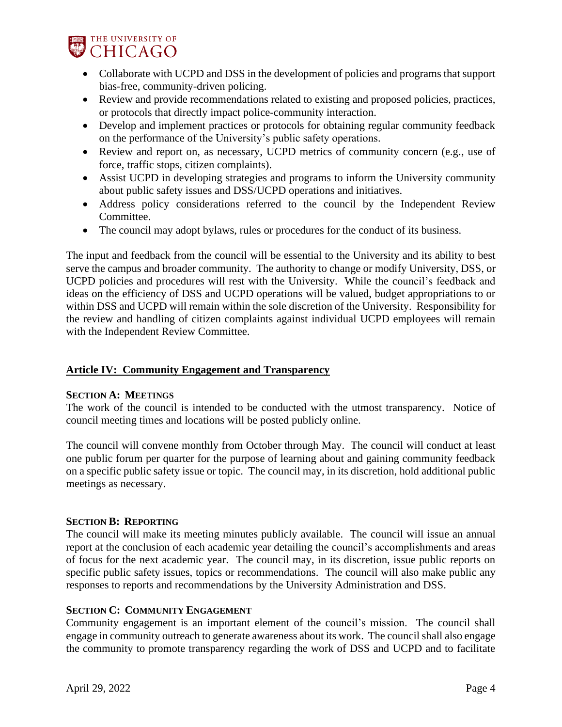

- Collaborate with UCPD and DSS in the development of policies and programs that support bias-free, community-driven policing.
- Review and provide recommendations related to existing and proposed policies, practices, or protocols that directly impact police-community interaction.
- Develop and implement practices or protocols for obtaining regular community feedback on the performance of the University's public safety operations.
- Review and report on, as necessary, UCPD metrics of community concern (e.g., use of force, traffic stops, citizen complaints).
- Assist UCPD in developing strategies and programs to inform the University community about public safety issues and DSS/UCPD operations and initiatives.
- Address policy considerations referred to the council by the Independent Review Committee.
- The council may adopt bylaws, rules or procedures for the conduct of its business.

The input and feedback from the council will be essential to the University and its ability to best serve the campus and broader community. The authority to change or modify University, DSS, or UCPD policies and procedures will rest with the University. While the council's feedback and ideas on the efficiency of DSS and UCPD operations will be valued, budget appropriations to or within DSS and UCPD will remain within the sole discretion of the University. Responsibility for the review and handling of citizen complaints against individual UCPD employees will remain with the Independent Review Committee.

#### **Article IV: Community Engagement and Transparency**

#### **SECTION A: MEETINGS**

The work of the council is intended to be conducted with the utmost transparency. Notice of council meeting times and locations will be posted publicly online.

The council will convene monthly from October through May. The council will conduct at least one public forum per quarter for the purpose of learning about and gaining community feedback on a specific public safety issue or topic. The council may, in its discretion, hold additional public meetings as necessary.

#### **SECTION B: REPORTING**

The council will make its meeting minutes publicly available. The council will issue an annual report at the conclusion of each academic year detailing the council's accomplishments and areas of focus for the next academic year. The council may, in its discretion, issue public reports on specific public safety issues, topics or recommendations. The council will also make public any responses to reports and recommendations by the University Administration and DSS.

#### **SECTION C: COMMUNITY ENGAGEMENT**

Community engagement is an important element of the council's mission. The council shall engage in community outreach to generate awareness about its work. The council shall also engage the community to promote transparency regarding the work of DSS and UCPD and to facilitate